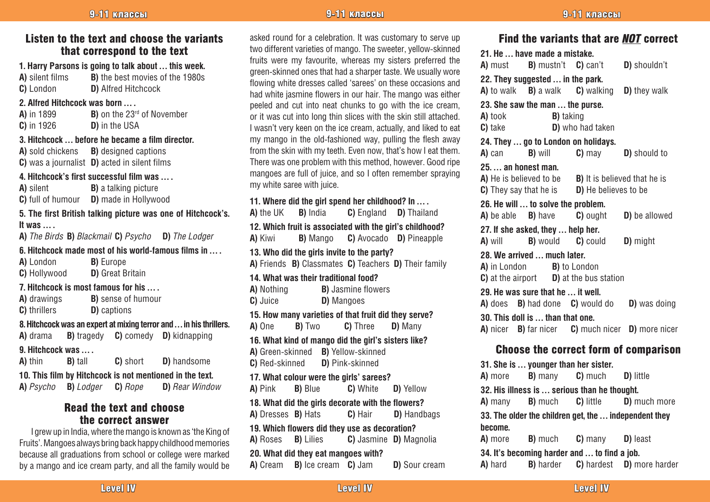# Listen to the text and choose the variants that correspond to the text

**1. Harry Parsons is going to talk about ... this week.**<br>**A)** silent films **B)** the best movies of the 1980s **B)** the best movies of the 1980s **C)** London **D)** Alfred Hitchcock

#### **2. Alfred Hitchcock was born … .**

| A) in 1899    | <b>B)</b> on the 23 <sup>rd</sup> of November |
|---------------|-----------------------------------------------|
| $C$ ) in 1926 | <b>D)</b> in the USA                          |

#### **3. Hitchcock … before he became a film director.**

**A)** sold chickens **B)** designed captions **C)** was a journalist **D)** acted in silent films

#### **4. Hitchcock's first successful film was … .**

**A)** silent **B)** a talking picture **C)** full of humour **D)** made in Hollywood

# **5. The first British talking picture was one of Hitchcock's. It was … .**

**A)** *The Birds* **B)** *Blackmail* **C)** *Psycho* **D)** *The Lodger*

#### **6. Hitchcock made most of his world-famous films in … .**

**A)** London **B)** Europe **C)** Hollywood **D)** Great Britain

# **7. Hitchcock is most famous for his … .**

**A)** drawings **B)** sense of humour **C)** thrillers **D)** captions

# **8. Hitchcock was an expert at mixing terror and … in his thrillers.**

**A)** drama **B)** tragedy **C)** comedy **D)** kidnapping

### **9. Hitchcock was … .**

**A)** thin **B)** tall **C)** short **D)** handsome

**10. This film by Hitchcock is not mentioned in the text. A)** *Psycho* **B)** *Lodger* **C)** *Rope* **D)** *Rear Window*

# Read the text and choose the correct answer

I grew up in India, where the mango is known as 'the King of Fruits'. Mangoes always bring back happy childhood memories because all graduations from school or college were marked by a mango and ice cream party, and all the family would be

asked round for a celebration. It was customary to serve up two different varieties of mango. The sweeter, yellow-skinned fruits were my favourite, whereas my sisters preferred the green-skinned ones that had a sharper taste. We usually wore flowing white dresses called 'sarees' on these occasions and had white jasmine flowers in our hair. The mango was either peeled and cut into neat chunks to go with the ice cream, or it was cut into long thin slices with the skin still attached. I wasn't very keen on the ice cream, actually, and liked to eat my mango in the old-fashioned way, pulling the flesh away from the skin with my teeth. Even now, that's how I eat them. There was one problem with this method, however. Good ripe mangoes are full of juice, and so I often remember spraying my white saree with juice.

## **11. Where did the girl spend her childhood? In … .**

**A)** the UK **B)** India **C)** England **D)** Thailand **12. Which fruit is associated with the girl's childhood? A)** Kiwi **B)** Mango **C)** Avocado **D)** Pineapple **13. Who did the girls invite to the party? A)** Friends **B)** Classmates **C)** Teachers **D)** Their family **14. What was their traditional food? A)** Nothing **B)** Jasmine flowers **C)** Juice **D)** Mangoes **15. How many varieties of that fruit did they serve?**<br>**A)** One **B)** Two **C)** Three **D)** Many **C)** Three **D)** Many **16. What kind of mango did the girl's sisters like? A)** Green-skinned **B)** Yellow-skinned **C)** Red-skinned **D)** Pink-skinned **17. What colour were the girls' sarees? A)** Pink **B)** Blue **C)** White **D)** Yellow **18. What did the girls decorate with the flowers? A)** Dresses **B)** Hats **C)** Hair **D)** Handbags **19. Which flowers did they use as decoration? A)** Roses **B)** Lilies **C)** Jasmine **D)** Magnolia **20. What did they eat mangoes with? A)** Cream **B)** Ice cream **C)** Jam **D)** Sour cream

# 9-11 классы -11 классы -11 классы -11 классы -11 классы -11 классы -11 классы -11 классы -11 классы

| Find the variants that are <b>NOT</b> correct           |                                             |                      |  |  |  |  |
|---------------------------------------------------------|---------------------------------------------|----------------------|--|--|--|--|
|                                                         | 21. He  have made a mistake.                |                      |  |  |  |  |
| A) must B) mustn't C) can't                             |                                             | D) shouldn't         |  |  |  |  |
| 22. They suggested  in the park.                        |                                             |                      |  |  |  |  |
| <b>A</b> ) to walk <b>B</b> ) a walk <b>C</b> ) walking |                                             | D) they walk         |  |  |  |  |
| 23. She saw the man  the purse.                         |                                             |                      |  |  |  |  |
| A) took                                                 | <b>B</b> ) taking                           |                      |  |  |  |  |
| C) take                                                 | D) who had taken                            |                      |  |  |  |  |
| 24. They  go to London on holidays.                     |                                             |                      |  |  |  |  |
| <b>B)</b> will<br>A) can                                | $C$ ) may                                   | D) should to         |  |  |  |  |
| 25.  an honest man.                                     |                                             |                      |  |  |  |  |
| A) He is believed to be B) It is believed that he is    |                                             |                      |  |  |  |  |
|                                                         | C) They say that he is D) He believes to be |                      |  |  |  |  |
| 26. He will  to solve the problem.                      |                                             |                      |  |  |  |  |
| A) be able <b>B</b> ) have                              | <b>C</b> ) ought                            | D) be allowed        |  |  |  |  |
| 27. If she asked, they  help her.                       |                                             |                      |  |  |  |  |
| <b>B</b> ) would <b>C</b> ) could<br>A) will            |                                             | D) might             |  |  |  |  |
| 28. We arrived  much later.                             |                                             |                      |  |  |  |  |
| A) in London B) to London                               |                                             |                      |  |  |  |  |
| <b>C</b> ) at the airport <b>D</b> ) at the bus station |                                             |                      |  |  |  |  |
| 29. He was sure that he  it well.                       |                                             |                      |  |  |  |  |
| A) does B) had done C) would do                         |                                             | <b>D</b> ) was doing |  |  |  |  |
| 30. This doll is  than that one.                        |                                             |                      |  |  |  |  |
| A) nicer B) far nicer C) much nicer D) more nicer       |                                             |                      |  |  |  |  |
|                                                         |                                             |                      |  |  |  |  |
| <b>Choose the correct form of comparison</b>            |                                             |                      |  |  |  |  |
| 31. She is  younger than her sister.                    |                                             |                      |  |  |  |  |
| <b>B</b> ) many<br>A) more                              | C) much                                     | D) little            |  |  |  |  |
| 32. His illness is  serious than he thought.            |                                             |                      |  |  |  |  |
| <b>A</b> ) many <b>B</b> ) much                         | C) little                                   | D) much more         |  |  |  |  |

**33. The older the children get, the … independent they become. A)** more **B)** much **C)** many **D)** least

**34. It's becoming harder and … to find a job. A)** hard **B)** harder **C)** hardest **D)** more harder

Level IV  $\qquad \qquad$  Level IV  $\qquad \qquad$  Level IV  $\qquad \qquad$  Level IV  $\qquad \qquad$  Level  $\qquad \qquad$  Level IV  $\qquad \qquad$